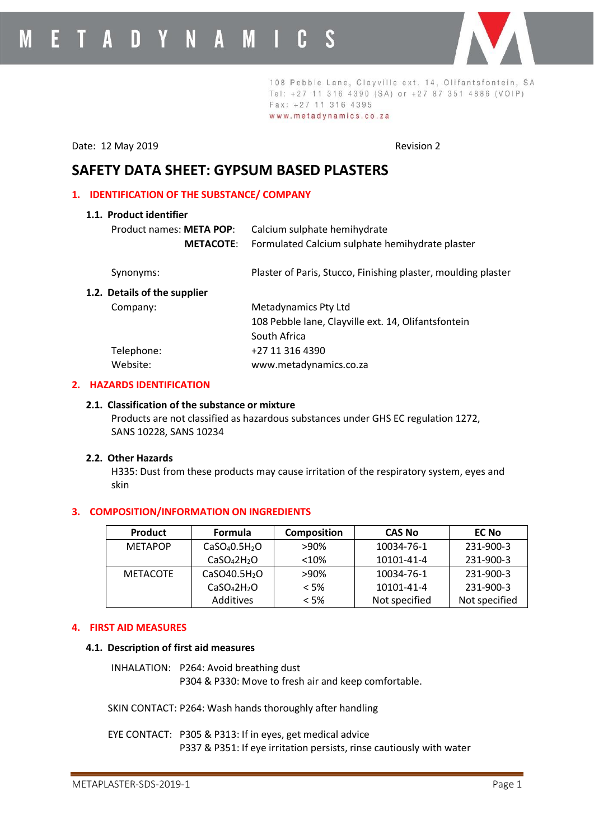

108 Pebble Lane, Clayville ext. 14, Olifantsfontein, SA Tel: +27 11 316 4390 (SA) or +27 87 351 4886 (VOIP) Fax: +27 11 316 4395 www.metadynamics.co.za

Date: 12 May 2019 **Revision 2** 

# **SAFETY DATA SHEET: GYPSUM BASED PLASTERS**

## **1. IDENTIFICATION OF THE SUBSTANCE/ COMPANY**

| Calcium sulphate hemihydrate                                  |
|---------------------------------------------------------------|
| Formulated Calcium sulphate hemihydrate plaster               |
| Plaster of Paris, Stucco, Finishing plaster, moulding plaster |
|                                                               |
| Metadynamics Pty Ltd                                          |
| 108 Pebble lane, Clayville ext. 14, Olifantsfontein           |
| South Africa                                                  |
| +27 11 316 4390                                               |
| www.metadynamics.co.za                                        |
|                                                               |

## **2. HAZARDS IDENTIFICATION**

#### **2.1. Classification of the substance or mixture**

Products are not classified as hazardous substances under GHS EC regulation 1272, SANS 10228, SANS 10234

## **2.2. Other Hazards**

H335: Dust from these products may cause irritation of the respiratory system, eyes and skin

## **3. COMPOSITION/INFORMATION ON INGREDIENTS**

| <b>Product</b>  | <b>Formula</b>                        | <b>Composition</b> | <b>CAS No</b> | <b>EC No</b>  |
|-----------------|---------------------------------------|--------------------|---------------|---------------|
| <b>METAPOP</b>  | CaSO <sub>4</sub> 0.5H <sub>2</sub> O | >90%               | 10034-76-1    | 231-900-3     |
|                 | CaSO <sub>4</sub> 2H <sub>2</sub> O   | < 10%              | 10101-41-4    | 231-900-3     |
| <b>METACOTE</b> | CaSO40.5H <sub>2</sub> O              | >90%               | 10034-76-1    | 231-900-3     |
|                 | CaSO <sub>4</sub> 2H <sub>2</sub> O   | $< 5\%$            | 10101-41-4    | 231-900-3     |
|                 | <b>Additives</b>                      | $<$ 5%             | Not specified | Not specified |

# **4. FIRST AID MEASURES**

## **4.1. Description of first aid measures**

INHALATION: P264: Avoid breathing dust P304 & P330: Move to fresh air and keep comfortable.

SKIN CONTACT: P264: Wash hands thoroughly after handling

EYE CONTACT: P305 & P313: If in eyes, get medical advice P337 & P351: If eye irritation persists, rinse cautiously with water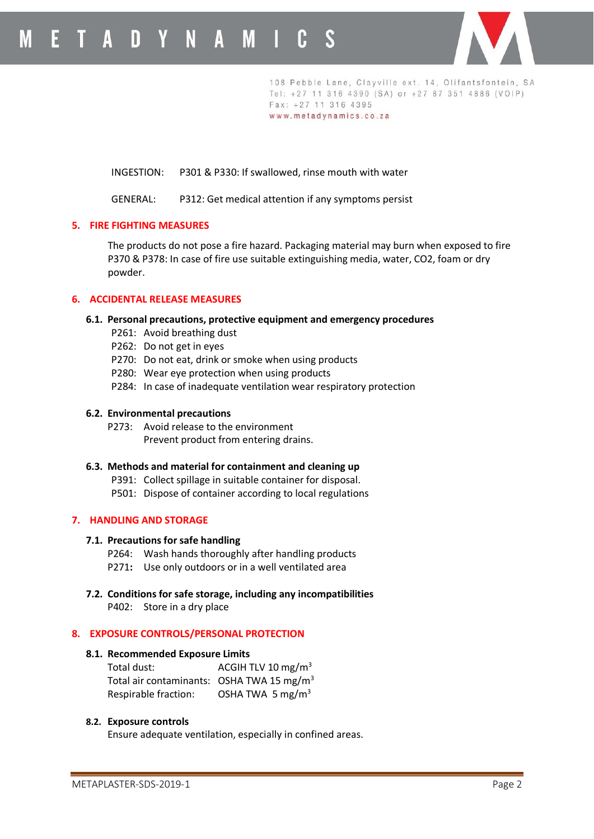

108 Pebble Lane, Clayville ext. 14, Olifantsfontein, SA Tel: +27 11 316 4390 (SA) or +27 87 351 4886 (VOIP) Fax: +27 11 316 4395 www.metadynamics.co.za

INGESTION: P301 & P330: If swallowed, rinse mouth with water

GENERAL: P312: Get medical attention if any symptoms persist

## **5. FIRE FIGHTING MEASURES**

The products do not pose a fire hazard. Packaging material may burn when exposed to fire P370 & P378: In case of fire use suitable extinguishing media, water, CO2, foam or dry powder.

## **6. ACCIDENTAL RELEASE MEASURES**

## **6.1. Personal precautions, protective equipment and emergency procedures**

- P261: Avoid breathing dust
- P262: Do not get in eyes
- P270: Do not eat, drink or smoke when using products
- P280: Wear eye protection when using products
- P284: In case of inadequate ventilation wear respiratory protection

#### **6.2. Environmental precautions**

P273: Avoid release to the environment Prevent product from entering drains.

#### **6.3. Methods and material for containment and cleaning up**

- P391: Collect spillage in suitable container for disposal.
- P501: Dispose of container according to local regulations

#### **7. HANDLING AND STORAGE**

#### **7.1. Precautions for safe handling**

- P264: Wash hands thoroughly after handling products
- P271**:** Use only outdoors or in a well ventilated area
- **7.2. Conditions for safe storage, including any incompatibilities**
	- P402: Store in a dry place

## **8. EXPOSURE CONTROLS/PERSONAL PROTECTION**

#### **8.1. Recommended Exposure Limits**

| Total dust:                                           | ACGIH TLV 10 mg/m <sup>3</sup> |
|-------------------------------------------------------|--------------------------------|
| Total air contaminants: OSHA TWA 15 mg/m <sup>3</sup> |                                |
| Respirable fraction:                                  | OSHA TWA 5 mg/m <sup>3</sup>   |

#### **8.2. Exposure controls**

Ensure adequate ventilation, especially in confined areas.